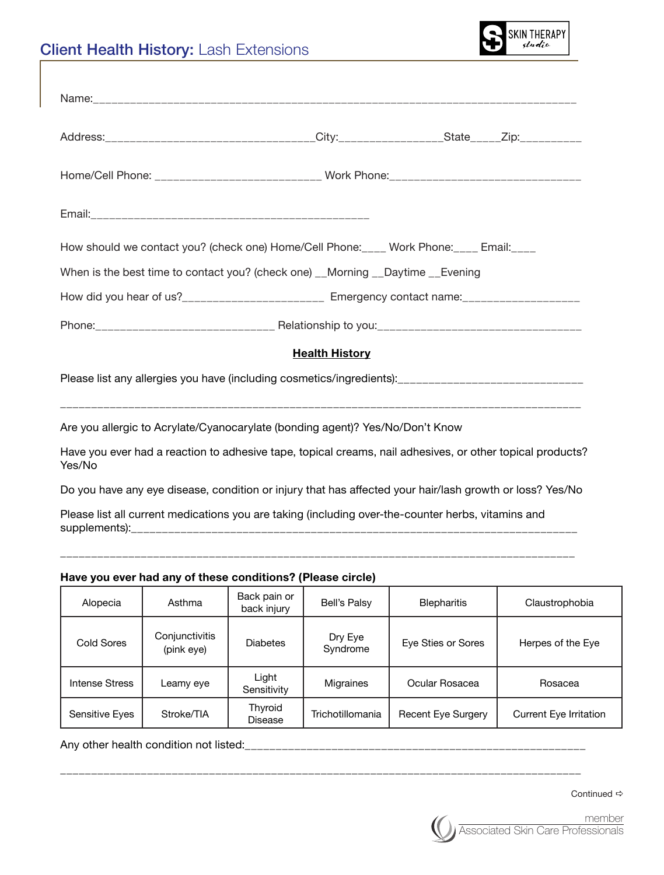## Client Health History: Lash Extensions



|                                                                                            |                                                                               |                             |                       | Address:__________________________________City:_________________State_____Zip:__________                  |                                 |  |  |
|--------------------------------------------------------------------------------------------|-------------------------------------------------------------------------------|-----------------------------|-----------------------|-----------------------------------------------------------------------------------------------------------|---------------------------------|--|--|
| Home/Cell Phone: ____________________________ Work Phone: ________________________________ |                                                                               |                             |                       |                                                                                                           |                                 |  |  |
|                                                                                            |                                                                               |                             |                       |                                                                                                           |                                 |  |  |
|                                                                                            |                                                                               |                             |                       | How should we contact you? (check one) Home/Cell Phone: ____ Work Phone: ____ Email: ____                 |                                 |  |  |
|                                                                                            |                                                                               |                             |                       | When is the best time to contact you? (check one) __Morning __Daytime __Evening                           |                                 |  |  |
|                                                                                            |                                                                               |                             |                       | How did you hear of us?________________________ Emergency contact name:__________________                 |                                 |  |  |
|                                                                                            |                                                                               |                             |                       |                                                                                                           |                                 |  |  |
|                                                                                            |                                                                               |                             | <b>Health History</b> |                                                                                                           |                                 |  |  |
|                                                                                            |                                                                               |                             |                       | Please list any allergies you have (including cosmetics/ingredients): _____________________________       |                                 |  |  |
|                                                                                            | Are you allergic to Acrylate/Cyanocarylate (bonding agent)? Yes/No/Don't Know |                             |                       |                                                                                                           |                                 |  |  |
| Yes/No                                                                                     |                                                                               |                             |                       | Have you ever had a reaction to adhesive tape, topical creams, nail adhesives, or other topical products? |                                 |  |  |
|                                                                                            |                                                                               |                             |                       | Do you have any eye disease, condition or injury that has affected your hair/lash growth or loss? Yes/No  |                                 |  |  |
|                                                                                            |                                                                               |                             |                       | Please list all current medications you are taking (including over-the-counter herbs, vitamins and        |                                 |  |  |
|                                                                                            | Have you ever had any of these conditions? (Please circle)                    |                             |                       |                                                                                                           |                                 |  |  |
| Alopecia                                                                                   | Asthma                                                                        | Back pain or<br>back injury | <b>Bell's Palsy</b>   | <b>Blepharitis</b>                                                                                        | Claustrophobia                  |  |  |
| Cold Coron                                                                                 | Conjunctivitis                                                                | Dioboton                    | Dry Eye               | $E_{1/2}$ $C_{1/2}$ $\alpha r$ $C_{2}$ $\alpha r$                                                         | $H$ <sub>arnan</sub> of the $F$ |  |  |

| Cold Sores     | Conjunctivitis<br>(pink eye) | <b>Diabetes</b>      | Dry Eye<br>Syndrome | Eye Sties or Sores        | Herpes of the Eye             |
|----------------|------------------------------|----------------------|---------------------|---------------------------|-------------------------------|
| Intense Stress | Leamy eye                    | Light<br>Sensitivity | Migraines           | Ocular Rosacea            | Rosacea                       |
| Sensitive Eyes | Stroke/TIA                   | Thyroid<br>Disease   | Trichotillomania    | <b>Recent Eye Surgery</b> | <b>Current Eye Irritation</b> |

\_\_\_\_\_\_\_\_\_\_\_\_\_\_\_\_\_\_\_\_\_\_\_\_\_\_\_\_\_\_\_\_\_\_\_\_\_\_\_\_\_\_\_\_\_\_\_\_\_\_\_\_\_\_\_\_\_\_\_\_\_\_\_\_\_\_\_\_\_\_\_\_\_\_\_\_\_\_\_\_\_\_\_\_

Any other health condition not listed:\_\_\_\_\_\_\_\_\_\_\_\_\_\_\_\_\_\_\_\_\_\_\_\_\_\_\_\_\_\_\_\_\_\_\_\_\_\_\_\_\_\_\_\_\_\_\_\_\_\_\_\_\_\_\_

Continued  $\Rightarrow$